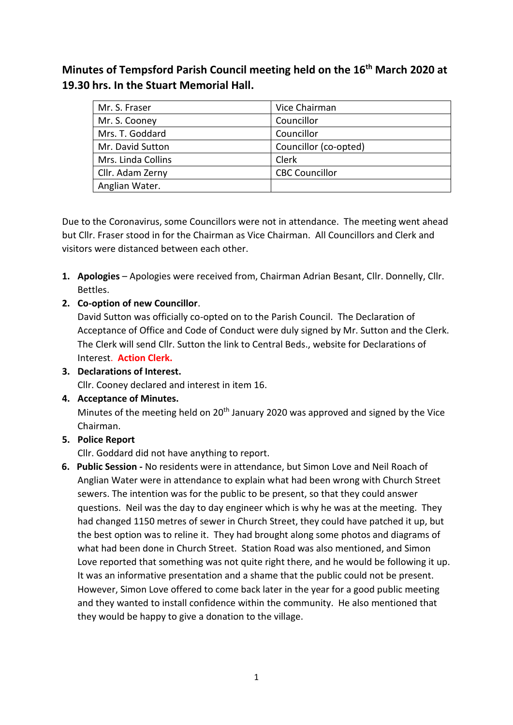**Minutes of Tempsford Parish Council meeting held on the 16th March 2020 at 19.30 hrs. In the Stuart Memorial Hall.**

| Mr. S. Fraser      | Vice Chairman         |
|--------------------|-----------------------|
| Mr. S. Cooney      | Councillor            |
| Mrs. T. Goddard    | Councillor            |
| Mr. David Sutton   | Councillor (co-opted) |
| Mrs. Linda Collins | Clerk                 |
| Cllr. Adam Zerny   | <b>CBC Councillor</b> |
| Anglian Water.     |                       |

Due to the Coronavirus, some Councillors were not in attendance. The meeting went ahead but Cllr. Fraser stood in for the Chairman as Vice Chairman. All Councillors and Clerk and visitors were distanced between each other.

- **1. Apologies** Apologies were received from, Chairman Adrian Besant, Cllr. Donnelly, Cllr. Bettles.
- **2. Co-option of new Councillor**.

David Sutton was officially co-opted on to the Parish Council. The Declaration of Acceptance of Office and Code of Conduct were duly signed by Mr. Sutton and the Clerk. The Clerk will send Cllr. Sutton the link to Central Beds., website for Declarations of Interest. **Action Clerk.** 

**3. Declarations of Interest.**

Cllr. Cooney declared and interest in item 16.

**4. Acceptance of Minutes.** 

Minutes of the meeting held on 20<sup>th</sup> January 2020 was approved and signed by the Vice Chairman.

**5. Police Report**

Cllr. Goddard did not have anything to report.

**6. Public Session -** No residents were in attendance, but Simon Love and Neil Roach of Anglian Water were in attendance to explain what had been wrong with Church Street sewers. The intention was for the public to be present, so that they could answer questions. Neil was the day to day engineer which is why he was at the meeting. They had changed 1150 metres of sewer in Church Street, they could have patched it up, but the best option was to reline it. They had brought along some photos and diagrams of what had been done in Church Street. Station Road was also mentioned, and Simon Love reported that something was not quite right there, and he would be following it up. It was an informative presentation and a shame that the public could not be present. However, Simon Love offered to come back later in the year for a good public meeting and they wanted to install confidence within the community. He also mentioned that they would be happy to give a donation to the village.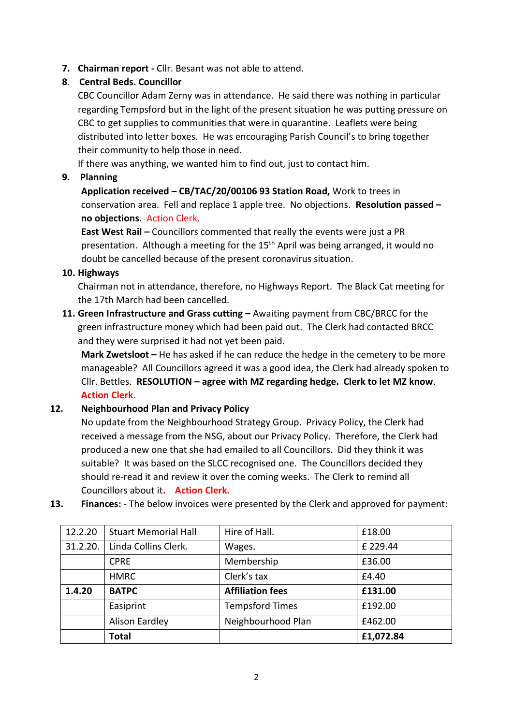**7. Chairman report -** Cllr. Besant was not able to attend.

# **8**. **Central Beds. Councillor**

CBC Councillor Adam Zerny was in attendance. He said there was nothing in particular regarding Tempsford but in the light of the present situation he was putting pressure on CBC to get supplies to communities that were in quarantine. Leaflets were being distributed into letter boxes. He was encouraging Parish Council's to bring together their community to help those in need.

If there was anything, we wanted him to find out, just to contact him.

## **9. Planning**

**Application received – CB/TAC/20/00106 93 Station Road,** Work to trees in conservation area. Fell and replace 1 apple tree. No objections. **Resolution passed – no objections**. Action Clerk.

**East West Rail –** Councillors commented that really the events were just a PR presentation. Although a meeting for the 15<sup>th</sup> April was being arranged, it would no doubt be cancelled because of the present coronavirus situation.

## **10. Highways**

Chairman not in attendance, therefore, no Highways Report. The Black Cat meeting for the 17th March had been cancelled.

**11. Green Infrastructure and Grass cutting –** Awaiting payment from CBC/BRCC for the green infrastructure money which had been paid out. The Clerk had contacted BRCC and they were surprised it had not yet been paid.

**Mark Zwetsloot –** He has asked if he can reduce the hedge in the cemetery to be more manageable? All Councillors agreed it was a good idea, the Clerk had already spoken to Cllr. Bettles. **RESOLUTION – agree with MZ regarding hedge. Clerk to let MZ know**. **Action Clerk**.

# **12. Neighbourhood Plan and Privacy Policy**

No update from the Neighbourhood Strategy Group. Privacy Policy, the Clerk had received a message from the NSG, about our Privacy Policy. Therefore, the Clerk had produced a new one that she had emailed to all Councillors. Did they think it was suitable? It was based on the SLCC recognised one. The Councillors decided they should re-read it and review it over the coming weeks. The Clerk to remind all Councillors about it**. Action Clerk.**

**13. Finances:** - The below invoices were presented by the Clerk and approved for payment:

| 12.2.20  | <b>Stuart Memorial Hall</b> | Hire of Hall.           | £18.00    |
|----------|-----------------------------|-------------------------|-----------|
| 31.2.20. | Linda Collins Clerk.        | Wages.                  | £ 229.44  |
|          | <b>CPRE</b>                 | Membership              | £36.00    |
|          | <b>HMRC</b>                 | Clerk's tax             | £4.40     |
| 1.4.20   | <b>BATPC</b>                | <b>Affiliation fees</b> | £131.00   |
|          | Easiprint                   | <b>Tempsford Times</b>  | £192.00   |
|          | Alison Eardley              | Neighbourhood Plan      | £462.00   |
|          | <b>Total</b>                |                         | £1,072.84 |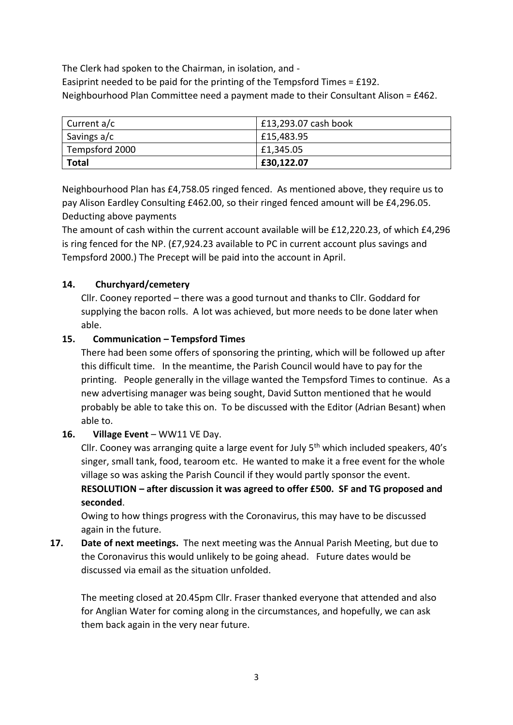The Clerk had spoken to the Chairman, in isolation, and - Easiprint needed to be paid for the printing of the Tempsford Times = £192. Neighbourhood Plan Committee need a payment made to their Consultant Alison = £462.

| Current a/c    | £13,293.07 cash book |
|----------------|----------------------|
| Savings a/c    | £15,483.95           |
| Tempsford 2000 | £1,345.05            |
| <b>Total</b>   | £30,122.07           |

Neighbourhood Plan has £4,758.05 ringed fenced. As mentioned above, they require us to pay Alison Eardley Consulting £462.00, so their ringed fenced amount will be £4,296.05. Deducting above payments

The amount of cash within the current account available will be £12,220.23, of which £4,296 is ring fenced for the NP. (£7,924.23 available to PC in current account plus savings and Tempsford 2000.) The Precept will be paid into the account in April.

## **14. Churchyard/cemetery**

Cllr. Cooney reported – there was a good turnout and thanks to Cllr. Goddard for supplying the bacon rolls. A lot was achieved, but more needs to be done later when able.

## **15. Communication – Tempsford Times**

There had been some offers of sponsoring the printing, which will be followed up after this difficult time. In the meantime, the Parish Council would have to pay for the printing. People generally in the village wanted the Tempsford Times to continue. As a new advertising manager was being sought, David Sutton mentioned that he would probably be able to take this on. To be discussed with the Editor (Adrian Besant) when able to.

#### **16. Village Event** – WW11 VE Day.

Cllr. Cooney was arranging quite a large event for July 5th which included speakers, 40's singer, small tank, food, tearoom etc. He wanted to make it a free event for the whole village so was asking the Parish Council if they would partly sponsor the event. **RESOLUTION – after discussion it was agreed to offer £500. SF and TG proposed and seconded**.

Owing to how things progress with the Coronavirus, this may have to be discussed again in the future.

**17. Date of next meetings.** The next meeting was the Annual Parish Meeting, but due to the Coronavirus this would unlikely to be going ahead. Future dates would be discussed via email as the situation unfolded.

The meeting closed at 20.45pm Cllr. Fraser thanked everyone that attended and also for Anglian Water for coming along in the circumstances, and hopefully, we can ask them back again in the very near future.